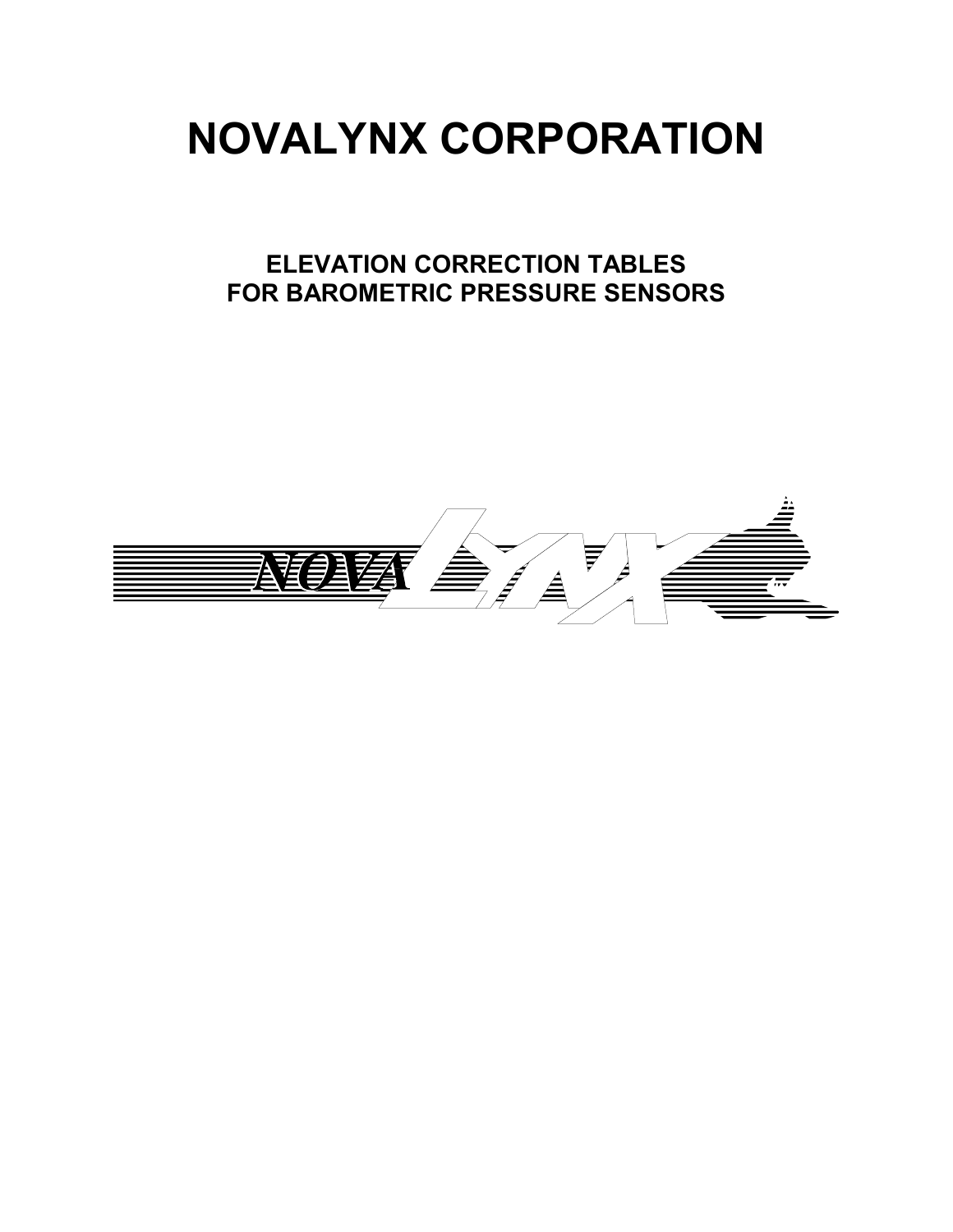# **NOVALYNX CORPORATION**

# **ELEVATION CORRECTION TABLES FOR BAROMETRIC PRESSURE SENSORS**

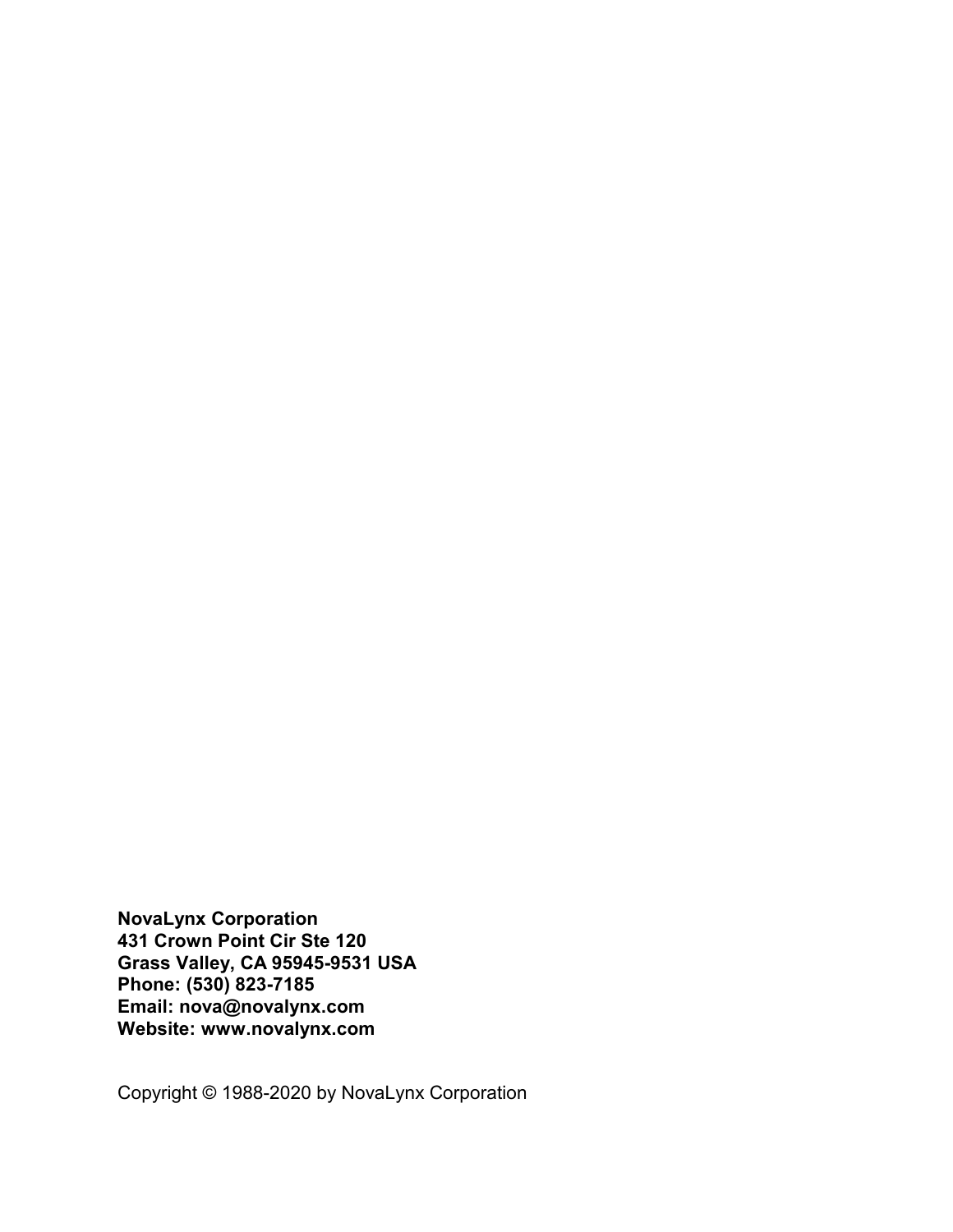**NovaLynx Corporation 431 Crown Point Cir Ste 120 Grass Valley, CA 95945-9531 USA Phone: (530) 823-7185 Email: nova@novalynx.com Website: www.novalynx.com**

Copyright © 1988-2020 by NovaLynx Corporation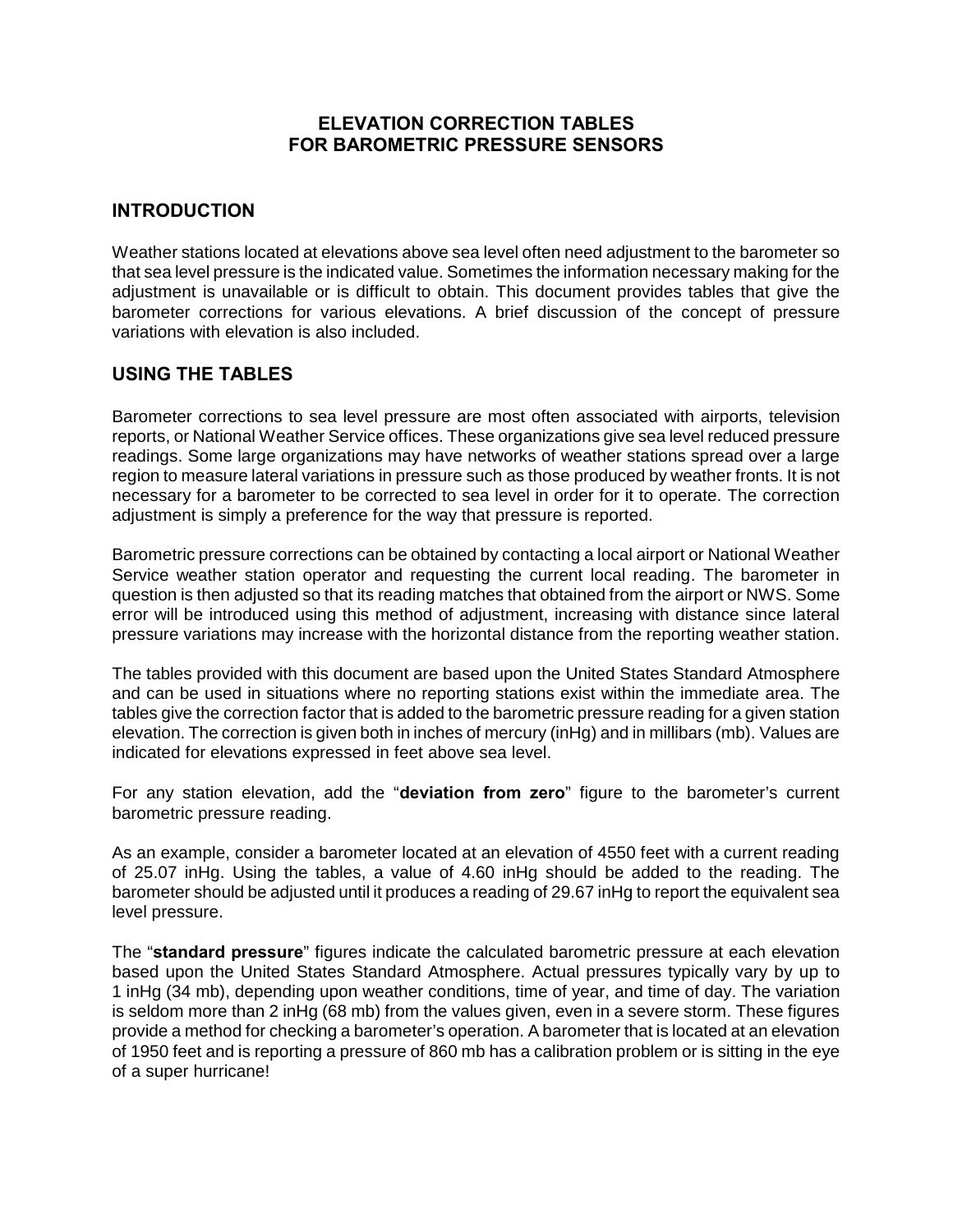### **ELEVATION CORRECTION TABLES FOR BAROMETRIC PRESSURE SENSORS**

#### **INTRODUCTION**

Weather stations located at elevations above sea level often need adjustment to the barometer so that sea level pressure is the indicated value. Sometimes the information necessary making for the adjustment is unavailable or is difficult to obtain. This document provides tables that give the barometer corrections for various elevations. A brief discussion of the concept of pressure variations with elevation is also included.

#### **USING THE TABLES**

Barometer corrections to sea level pressure are most often associated with airports, television reports, or National Weather Service offices. These organizations give sea level reduced pressure readings. Some large organizations may have networks of weather stations spread over a large region to measure lateral variations in pressure such as those produced by weather fronts. It is not necessary for a barometer to be corrected to sea level in order for it to operate. The correction adjustment is simply a preference for the way that pressure is reported.

Barometric pressure corrections can be obtained by contacting a local airport or National Weather Service weather station operator and requesting the current local reading. The barometer in question is then adjusted so that its reading matches that obtained from the airport or NWS. Some error will be introduced using this method of adjustment, increasing with distance since lateral pressure variations may increase with the horizontal distance from the reporting weather station.

The tables provided with this document are based upon the United States Standard Atmosphere and can be used in situations where no reporting stations exist within the immediate area. The tables give the correction factor that is added to the barometric pressure reading for a given station elevation. The correction is given both in inches of mercury (inHg) and in millibars (mb). Values are indicated for elevations expressed in feet above sea level.

For any station elevation, add the "**deviation from zero**" figure to the barometer's current barometric pressure reading.

As an example, consider a barometer located at an elevation of 4550 feet with a current reading of 25.07 inHg. Using the tables, a value of 4.60 inHg should be added to the reading. The barometer should be adjusted until it produces a reading of 29.67 inHg to report the equivalent sea level pressure.

The "**standard pressure**" figures indicate the calculated barometric pressure at each elevation based upon the United States Standard Atmosphere. Actual pressures typically vary by up to 1 inHg (34 mb), depending upon weather conditions, time of year, and time of day. The variation is seldom more than 2 inHg (68 mb) from the values given, even in a severe storm. These figures provide a method for checking a barometer's operation. A barometer that is located at an elevation of 1950 feet and is reporting a pressure of 860 mb has a calibration problem or is sitting in the eye of a super hurricane!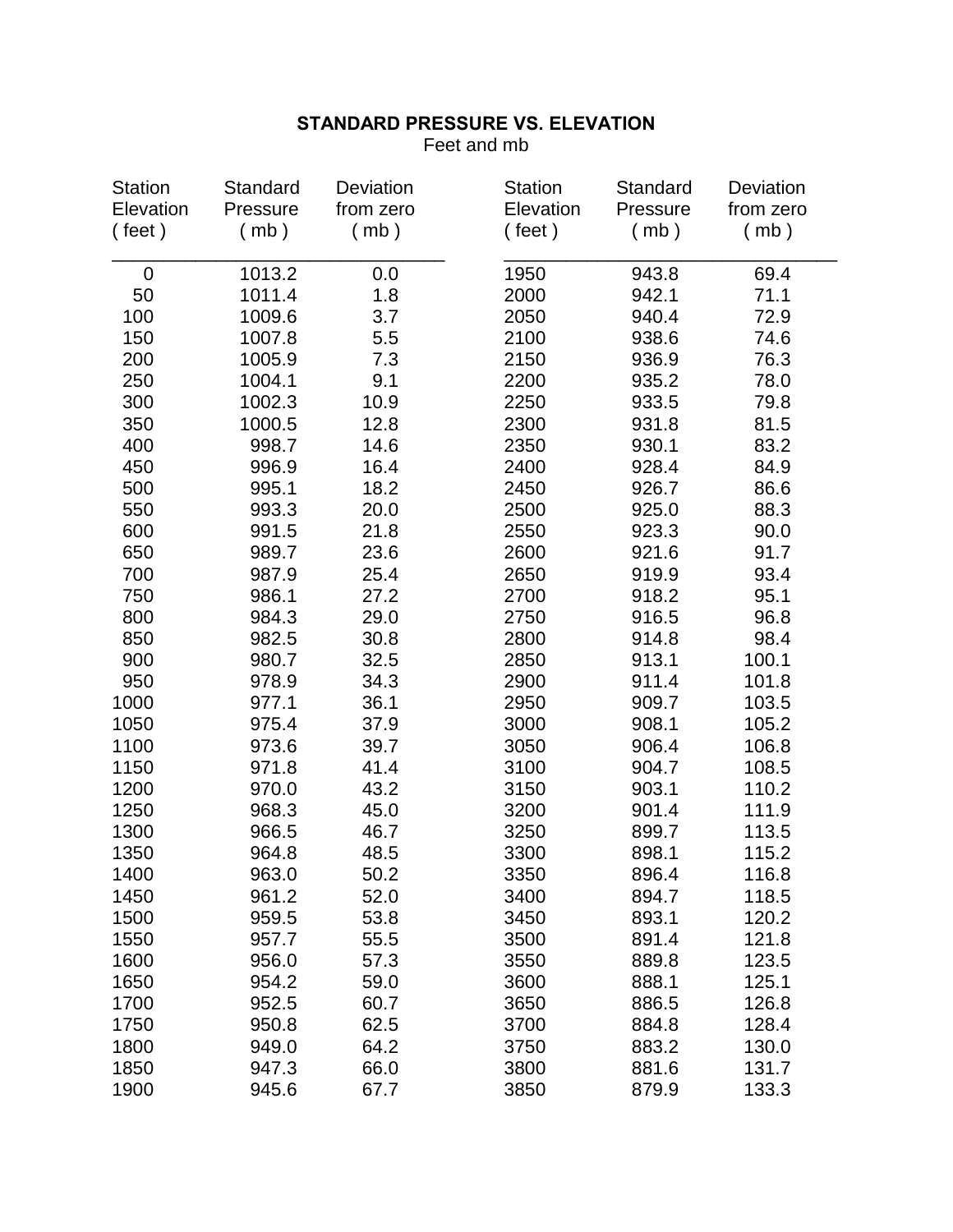Feet and mb

| <b>Station</b> | Standard | Deviation | <b>Station</b> | Standard | Deviation |
|----------------|----------|-----------|----------------|----------|-----------|
| Elevation      | Pressure | from zero | Elevation      | Pressure | from zero |
| ( feet)        | (mb)     | (mb)      | $($ feet)      | (mb)     | (mb)      |
| 0              | 1013.2   | 0.0       | 1950           | 943.8    | 69.4      |
| 50             | 1011.4   | 1.8       | 2000           | 942.1    | 71.1      |
| 100            | 1009.6   | 3.7       | 2050           | 940.4    | 72.9      |
| 150            | 1007.8   | 5.5       | 2100           | 938.6    | 74.6      |
| 200            | 1005.9   | 7.3       | 2150           | 936.9    | 76.3      |
| 250            | 1004.1   | 9.1       | 2200           | 935.2    | 78.0      |
| 300            | 1002.3   | 10.9      | 2250           | 933.5    | 79.8      |
| 350            | 1000.5   | 12.8      | 2300           | 931.8    | 81.5      |
| 400            | 998.7    | 14.6      | 2350           | 930.1    | 83.2      |
| 450            | 996.9    | 16.4      | 2400           | 928.4    | 84.9      |
| 500            | 995.1    | 18.2      | 2450           | 926.7    | 86.6      |
| 550            | 993.3    | 20.0      | 2500           | 925.0    | 88.3      |
| 600            | 991.5    | 21.8      | 2550           | 923.3    | 90.0      |
| 650            | 989.7    | 23.6      | 2600           | 921.6    | 91.7      |
| 700            | 987.9    | 25.4      | 2650           | 919.9    | 93.4      |
| 750            | 986.1    | 27.2      | 2700           | 918.2    | 95.1      |
| 800            | 984.3    | 29.0      | 2750           | 916.5    | 96.8      |
| 850            | 982.5    | 30.8      | 2800           | 914.8    | 98.4      |
| 900            | 980.7    | 32.5      | 2850           | 913.1    | 100.1     |
| 950            | 978.9    | 34.3      | 2900           | 911.4    | 101.8     |
| 1000           | 977.1    | 36.1      | 2950           | 909.7    | 103.5     |
| 1050           | 975.4    | 37.9      | 3000           | 908.1    | 105.2     |
| 1100           | 973.6    | 39.7      | 3050           | 906.4    | 106.8     |
| 1150           | 971.8    | 41.4      | 3100           | 904.7    | 108.5     |
| 1200           | 970.0    | 43.2      | 3150           | 903.1    | 110.2     |
| 1250           | 968.3    | 45.0      | 3200           | 901.4    | 111.9     |
| 1300           | 966.5    | 46.7      | 3250           | 899.7    | 113.5     |
| 1350           | 964.8    | 48.5      | 3300           | 898.1    | 115.2     |
| 1400           | 963.0    | 50.2      | 3350           | 896.4    | 116.8     |
| 1450           | 961.2    | 52.0      | 3400           | 894.7    | 118.5     |
| 1500           | 959.5    | 53.8      | 3450           | 893.1    | 120.2     |
| 1550           | 957.7    | 55.5      | 3500           | 891.4    | 121.8     |
| 1600           | 956.0    | 57.3      | 3550           | 889.8    | 123.5     |
| 1650           | 954.2    | 59.0      | 3600           | 888.1    | 125.1     |
| 1700           | 952.5    | 60.7      | 3650           | 886.5    | 126.8     |
| 1750           | 950.8    | 62.5      | 3700           | 884.8    | 128.4     |
| 1800           | 949.0    | 64.2      | 3750           | 883.2    | 130.0     |
| 1850           | 947.3    | 66.0      | 3800           | 881.6    | 131.7     |
| 1900           | 945.6    | 67.7      | 3850           | 879.9    | 133.3     |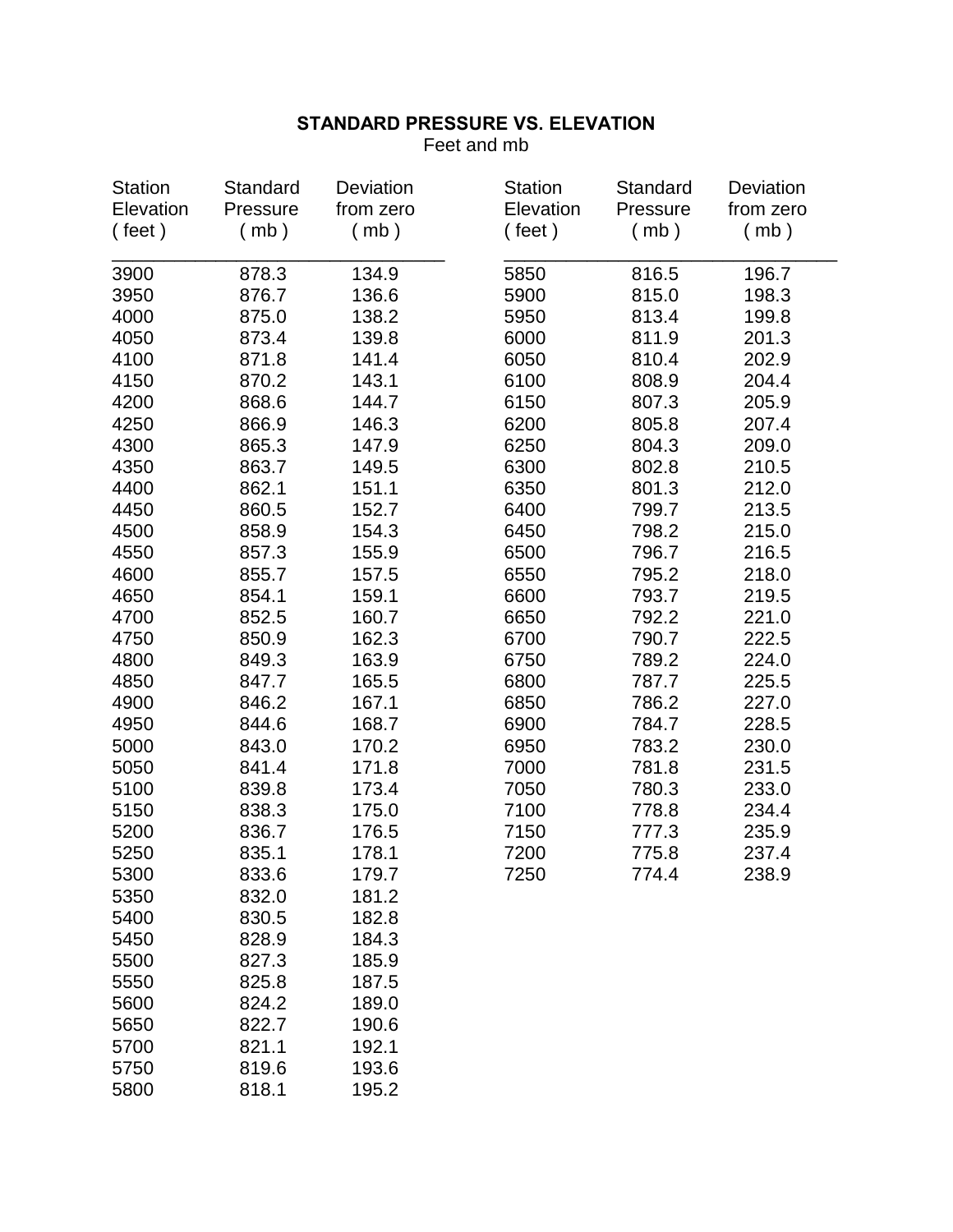Feet and mb

| <b>Station</b> | Standard | Deviation | <b>Station</b> | Standard | Deviation |
|----------------|----------|-----------|----------------|----------|-----------|
| Elevation      | Pressure | from zero | Elevation      | Pressure | from zero |
| ( feet)        | (mb)     | (mb)      | $($ feet)      | (mb)     | (mb)      |
| 3900           | 878.3    | 134.9     | 5850           | 816.5    | 196.7     |
| 3950           | 876.7    | 136.6     | 5900           | 815.0    | 198.3     |
|                |          |           |                |          |           |
| 4000           | 875.0    | 138.2     | 5950           | 813.4    | 199.8     |
| 4050           | 873.4    | 139.8     | 6000           | 811.9    | 201.3     |
| 4100           | 871.8    | 141.4     | 6050           | 810.4    | 202.9     |
| 4150           | 870.2    | 143.1     | 6100           | 808.9    | 204.4     |
| 4200           | 868.6    | 144.7     | 6150           | 807.3    | 205.9     |
| 4250           | 866.9    | 146.3     | 6200           | 805.8    | 207.4     |
| 4300           | 865.3    | 147.9     | 6250           | 804.3    | 209.0     |
| 4350           | 863.7    | 149.5     | 6300           | 802.8    | 210.5     |
| 4400           | 862.1    | 151.1     | 6350           | 801.3    | 212.0     |
| 4450           | 860.5    | 152.7     | 6400           | 799.7    | 213.5     |
| 4500           | 858.9    | 154.3     | 6450           | 798.2    | 215.0     |
| 4550           | 857.3    | 155.9     | 6500           | 796.7    | 216.5     |
| 4600           | 855.7    | 157.5     | 6550           | 795.2    | 218.0     |
| 4650           | 854.1    | 159.1     | 6600           | 793.7    | 219.5     |
| 4700           | 852.5    | 160.7     | 6650           | 792.2    | 221.0     |
| 4750           | 850.9    | 162.3     | 6700           | 790.7    | 222.5     |
| 4800           | 849.3    | 163.9     | 6750           | 789.2    | 224.0     |
| 4850           | 847.7    | 165.5     | 6800           | 787.7    | 225.5     |
| 4900           | 846.2    | 167.1     | 6850           | 786.2    | 227.0     |
| 4950           | 844.6    | 168.7     | 6900           | 784.7    | 228.5     |
| 5000           | 843.0    | 170.2     | 6950           | 783.2    | 230.0     |
| 5050           | 841.4    | 171.8     | 7000           | 781.8    | 231.5     |
| 5100           | 839.8    | 173.4     | 7050           | 780.3    | 233.0     |
| 5150           | 838.3    | 175.0     | 7100           | 778.8    | 234.4     |
| 5200           | 836.7    | 176.5     | 7150           | 777.3    | 235.9     |
| 5250           | 835.1    | 178.1     | 7200           | 775.8    | 237.4     |
| 5300           | 833.6    | 179.7     | 7250           | 774.4    | 238.9     |
| 5350           | 832.0    | 181.2     |                |          |           |
| 5400           | 830.5    | 182.8     |                |          |           |
| 5450           | 828.9    | 184.3     |                |          |           |
| 5500           | 827.3    | 185.9     |                |          |           |
| 5550           | 825.8    | 187.5     |                |          |           |
| 5600           | 824.2    | 189.0     |                |          |           |
| 5650           | 822.7    | 190.6     |                |          |           |
| 5700           | 821.1    | 192.1     |                |          |           |
| 5750           | 819.6    | 193.6     |                |          |           |
| 5800           | 818.1    | 195.2     |                |          |           |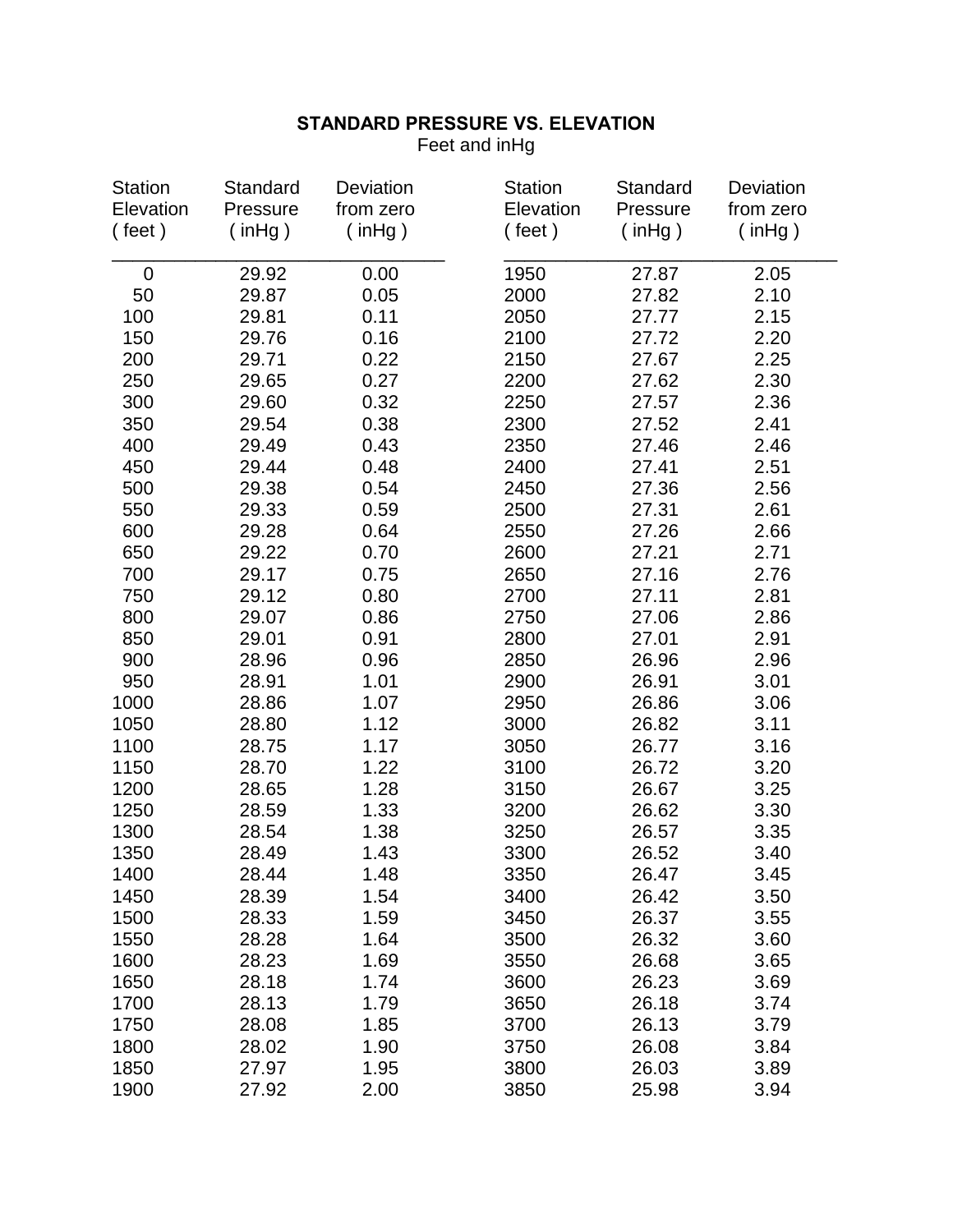Feet and inHg

| <b>Station</b> | Standard      | Deviation     | <b>Station</b> | Standard      | Deviation     |
|----------------|---------------|---------------|----------------|---------------|---------------|
| Elevation      | Pressure      | from zero     | Elevation      | Pressure      | from zero     |
| ( feet)        | $($ in Hg $)$ | $($ in Hg $)$ | $($ feet)      | $($ in Hg $)$ | $($ in Hg $)$ |
| 0              | 29.92         | 0.00          | 1950           | 27.87         | 2.05          |
| 50             | 29.87         | 0.05          | 2000           | 27.82         | 2.10          |
| 100            | 29.81         | 0.11          | 2050           | 27.77         | 2.15          |
| 150            | 29.76         | 0.16          | 2100           | 27.72         | 2.20          |
| 200            | 29.71         | 0.22          | 2150           | 27.67         | 2.25          |
| 250            | 29.65         | 0.27          | 2200           | 27.62         | 2.30          |
| 300            | 29.60         | 0.32          | 2250           | 27.57         | 2.36          |
| 350            | 29.54         | 0.38          | 2300           | 27.52         | 2.41          |
| 400            | 29.49         | 0.43          | 2350           | 27.46         | 2.46          |
| 450            | 29.44         | 0.48          | 2400           | 27.41         | 2.51          |
| 500            | 29.38         | 0.54          | 2450           | 27.36         | 2.56          |
| 550            | 29.33         | 0.59          | 2500           | 27.31         | 2.61          |
| 600            | 29.28         | 0.64          | 2550           | 27.26         | 2.66          |
| 650            | 29.22         | 0.70          | 2600           | 27.21         | 2.71          |
| 700            | 29.17         | 0.75          | 2650           | 27.16         | 2.76          |
| 750            | 29.12         | 0.80          | 2700           | 27.11         | 2.81          |
| 800            | 29.07         | 0.86          | 2750           | 27.06         | 2.86          |
| 850            | 29.01         | 0.91          | 2800           | 27.01         | 2.91          |
| 900            | 28.96         | 0.96          | 2850           | 26.96         | 2.96          |
| 950            | 28.91         | 1.01          | 2900           | 26.91         | 3.01          |
| 1000           | 28.86         | 1.07          | 2950           | 26.86         | 3.06          |
| 1050           | 28.80         | 1.12          | 3000           | 26.82         | 3.11          |
| 1100           | 28.75         | 1.17          | 3050           | 26.77         | 3.16          |
| 1150           | 28.70         | 1.22          | 3100           | 26.72         | 3.20          |
| 1200           | 28.65         | 1.28          | 3150           | 26.67         | 3.25          |
| 1250           | 28.59         | 1.33          | 3200           | 26.62         | 3.30          |
| 1300           | 28.54         | 1.38          | 3250           | 26.57         | 3.35          |
| 1350           | 28.49         | 1.43          | 3300           | 26.52         | 3.40          |
| 1400           | 28.44         | 1.48          | 3350           | 26.47         | 3.45          |
| 1450           | 28.39         | 1.54          | 3400           | 26.42         | 3.50          |
| 1500           | 28.33         | 1.59          | 3450           | 26.37         | 3.55          |
| 1550           | 28.28         | 1.64          | 3500           | 26.32         | 3.60          |
| 1600           | 28.23         | 1.69          | 3550           | 26.68         | 3.65          |
| 1650           | 28.18         | 1.74          | 3600           | 26.23         | 3.69          |
| 1700           | 28.13         | 1.79          | 3650           | 26.18         | 3.74          |
| 1750           | 28.08         | 1.85          | 3700           | 26.13         | 3.79          |
| 1800           | 28.02         | 1.90          | 3750           | 26.08         | 3.84          |
| 1850           | 27.97         | 1.95          | 3800           | 26.03         | 3.89          |
| 1900           | 27.92         | 2.00          | 3850           | 25.98         | 3.94          |